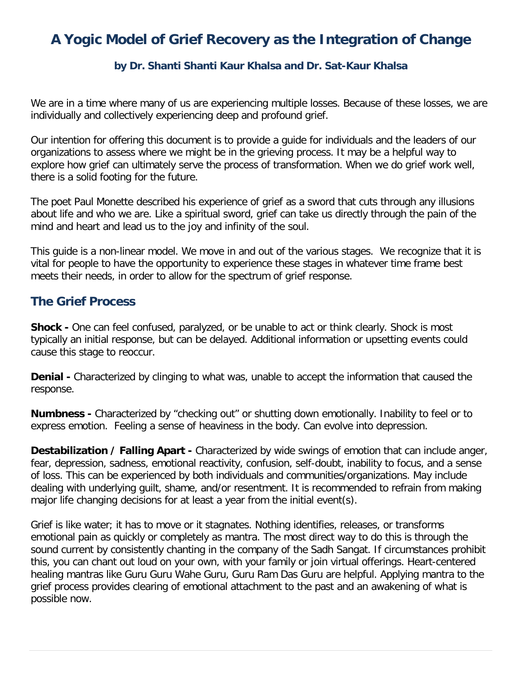## **A Yogic Model of Grief Recovery as the Integration of Change**

## **by Dr. Shanti Shanti Kaur Khalsa and Dr. Sat-Kaur Khalsa**

We are in a time where many of us are experiencing multiple losses. Because of these losses, we are individually and collectively experiencing deep and profound grief.

Our intention for offering this document is to provide a guide for individuals and the leaders of our organizations to assess where we might be in the grieving process. It may be a helpful way to explore how grief can ultimately serve the process of transformation. When we do grief work well, there is a solid footing for the future.

The poet Paul Monette described his experience of grief as a sword that cuts through any illusions about life and who we are. Like a spiritual sword, grief can take us directly through the pain of the mind and heart and lead us to the joy and infinity of the soul.

This guide is a non-linear model. We move in and out of the various stages. We recognize that it is vital for people to have the opportunity to experience these stages in whatever time frame best meets their needs, in order to allow for the spectrum of grief response.

## **The Grief Process**

**Shock -** One can feel confused, paralyzed, or be unable to act or think clearly. Shock is most typically an initial response, but can be delayed. Additional information or upsetting events could cause this stage to reoccur.

**Denial -** Characterized by clinging to what was, unable to accept the information that caused the response.

**Numbness -** Characterized by "checking out" or shutting down emotionally. Inability to feel or to express emotion. Feeling a sense of heaviness in the body. Can evolve into depression.

**Destabilization / Falling Apart -** Characterized by wide swings of emotion that can include anger, fear, depression, sadness, emotional reactivity, confusion, self-doubt, inability to focus, and a sense of loss. This can be experienced by both individuals and communities/organizations. May include dealing with underlying guilt, shame, and/or resentment. It is recommended to refrain from making major life changing decisions for at least a year from the initial event(s).

Grief is like water; it has to move or it stagnates. Nothing identifies, releases, or transforms emotional pain as quickly or completely as mantra. The most direct way to do this is through the sound current by consistently chanting in the company of the Sadh Sangat. If circumstances prohibit this, you can chant out loud on your own, with your family or join virtual offerings. Heart-centered healing mantras like Guru Guru Wahe Guru, Guru Ram Das Guru are helpful. Applying mantra to the grief process provides clearing of emotional attachment to the past and an awakening of what is possible now.